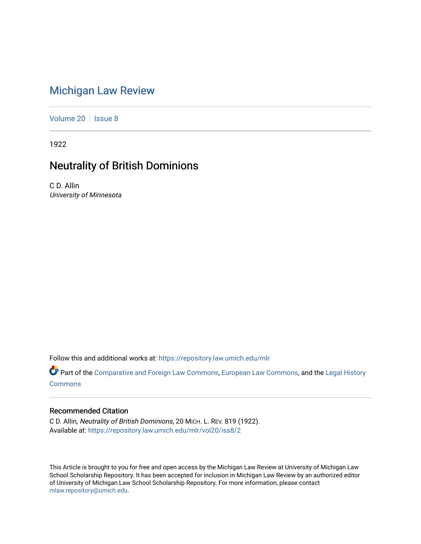# [Michigan Law Review](https://repository.law.umich.edu/mlr)

[Volume 20](https://repository.law.umich.edu/mlr/vol20) | [Issue 8](https://repository.law.umich.edu/mlr/vol20/iss8)

1922

# Neutrality of British Dominions

C D. Allin University of Minnesota

Follow this and additional works at: [https://repository.law.umich.edu/mlr](https://repository.law.umich.edu/mlr?utm_source=repository.law.umich.edu%2Fmlr%2Fvol20%2Fiss8%2F2&utm_medium=PDF&utm_campaign=PDFCoverPages) 

Part of the [Comparative and Foreign Law Commons,](http://network.bepress.com/hgg/discipline/836?utm_source=repository.law.umich.edu%2Fmlr%2Fvol20%2Fiss8%2F2&utm_medium=PDF&utm_campaign=PDFCoverPages) [European Law Commons,](http://network.bepress.com/hgg/discipline/1084?utm_source=repository.law.umich.edu%2Fmlr%2Fvol20%2Fiss8%2F2&utm_medium=PDF&utm_campaign=PDFCoverPages) and the [Legal History](http://network.bepress.com/hgg/discipline/904?utm_source=repository.law.umich.edu%2Fmlr%2Fvol20%2Fiss8%2F2&utm_medium=PDF&utm_campaign=PDFCoverPages) [Commons](http://network.bepress.com/hgg/discipline/904?utm_source=repository.law.umich.edu%2Fmlr%2Fvol20%2Fiss8%2F2&utm_medium=PDF&utm_campaign=PDFCoverPages)

### Recommended Citation

C D. Allin, Neutrality of British Dominions, 20 MICH. L. REV. 819 (1922). Available at: [https://repository.law.umich.edu/mlr/vol20/iss8/2](https://repository.law.umich.edu/mlr/vol20/iss8/2?utm_source=repository.law.umich.edu%2Fmlr%2Fvol20%2Fiss8%2F2&utm_medium=PDF&utm_campaign=PDFCoverPages)

This Article is brought to you for free and open access by the Michigan Law Review at University of Michigan Law School Scholarship Repository. It has been accepted for inclusion in Michigan Law Review by an authorized editor of University of Michigan Law School Scholarship Repository. For more information, please contact [mlaw.repository@umich.edu.](mailto:mlaw.repository@umich.edu)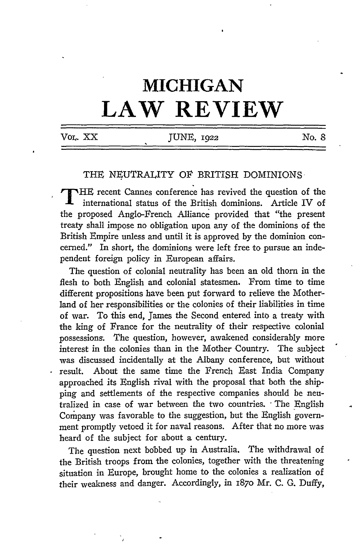# **MICHIGAN LAW REVIEW**

JUNE, 1922 No. 8

## THE NEUTRALITY OF BRITISH DOMINIONS-

THE recent Cannes conference has revived the question of the international status of the British dominions. Article IV of the proposed Anglo-French Alliance provided that "the present treaty shall impose no obligation upon any of the dominions of the British Empire unless and until it is approved by the dominion concerned." In short, the dominions were left free to pursue an independent foreign policy in European affairs.

The question of colonial neutrality has been an old thorn in the flesh to both English and colonial statesmen. From time to time different propositions have been put forward to relieve the Motherland of her responsibilities or the colonies of their liabilities in time of war. To this end, James the Second entered into a treaty with the king of France for the neutrality of their respective colonial possessions. The question, however, awakened considerably more interest in the colonies than in the Mother Country. The subject was discussed incidentally at the Albany conference, but without result. About the same time the French East India Company approached its English rival with the proposal that both the ship· ping and settlements of the respective companies should be neutralized in case of war between the two countries. · The English Company was favorable to the suggestion, but the English government promptly vetoed it for naval reasons. After that no more was heard of the subject for about a century.

The question next bobbed up in Australia. The withdrawal of the British troops from the colonies, together with the threatening situation in Europe, brought home to the colonies a realization of their weakness and danger. Accordingly, in 1870 Mr. C. G. Duffy,

 $\mathcal{L}_{\mathcal{A}}$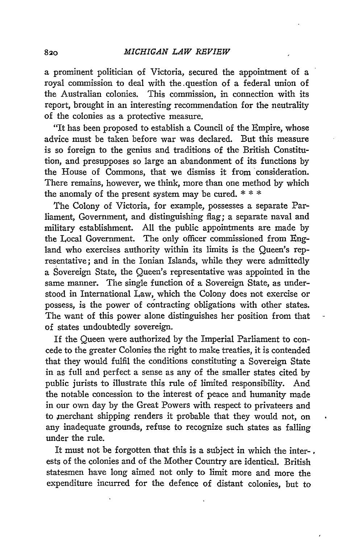a prominent politician of Victoria, secured the appointment of a royal commission to deal with the .question of a federal union of the Australian colonies. This commission, in connection with its report, brought in an interesting recommendation for the neutrality of the colonies as a protective measure.

"It has been proposed to establish a Council of the Empire, whose advice must be taken before war was declared. But this measure is so foreign to the genius and traditions of the British Constitution, and presupposes so large an abandonment of its functions by the House of Commons, that we dismiss it from consideration. There remains, however, we think, more than one method by which the anomaly of the present system may be cured. \* \* \*

The Colony of Victoria, for example, possesses a separate Parliament, Government, and distinguishing flag; a separate naval and military establishment. All the public appointments are made by the Local Government. The only officer commissioned from England who exercises authority within its limits is the Queen's representative; and in the Ionian Islands, while they were admittedly a Sovereign State, the Queen's representative was appointed in the same manner. The single function of a Sovereign State, as understood in International Law, which the Colony does not exercise or possess, is the power of contracting obligations with other states. The want of this power alone distinguishes her position from that of states undoubtedly sovereign.

If the Queen were authorized by the Imperial Parliament to concede to the greater Colonies the right to make treaties, it is contended that they would fulfil the conditions constituting a Sovereign State in as full and perfect a sense as any of the smaller states cited by public jurists to illustrate this rule of limited responsibility. And the notable concession to the interest of peace and humanity made in our own day by the Great Powers with respect to privateers and to ,merchant shipping renders it probable that they would not, on any inadequate grounds, refuse to recognize such states as falling under the rule.

It must not be forgotten that this is a subject in which the inter-. ests of the colonies and of the Mother Country are identical. British statesmen have long aimed not only to limit more and more the expenditure incurred for the defence of distant colonies, but to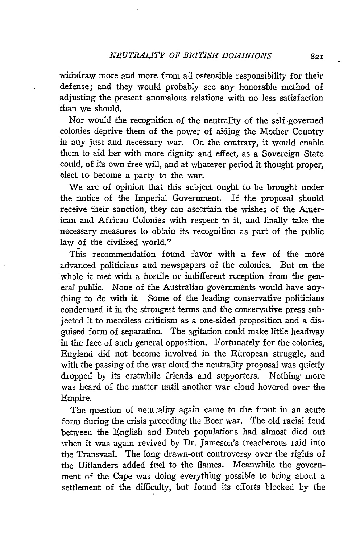withdraw more and more from all ostensible responsibility for their defense; and they would probably see any honorable method of adjusting the present anomalous relations with no less satisfaction than we should.

Nor would the recognition of the neutrality of the self-governed colonies deprive them of the power of aiding the Mother Country in any just and necessary war. On the contrary, it would enable them to aid her with more dignity and effect, as a Sovereign State could, of its own free will, and at whatever period it thought proper, elect to become a party to the war.

We are of opinion that this subject ought to be brought under the notice of the Imperial Government. If the proposal should receive their sanction, they can ascertain the wishes of the American and African Colonies with respect to it, and finally take the necessary measures to obtain its recognition as part of the public law of the civilized world."

This recommendation found favor with a few of the more advanced politicians and newspapers of the colonies. But on the whole it met with a hostile or indifferent reception from the general public. None of the Australian governments would have anything to do with it. Some of the leading conservative politicians condemned it in the strongest terms and the conservative press subjected it to merciless criticism as a one-sided proposition and a disguised form of separation. The agitation could make little headway in the face of such general opposition. Fortunately for the colonies, England did not become involved in the European struggle, and with the passing of the war cloud the neutrality proposal was quietly dropped by its erstwhile friends and supporters. Nothing more was heard of the matter until another war cloud hovered over the Empire.

The question of neutrality again came to the front in an acute form during the crisis preceding the Boer war. The old racial feud between the English and Dutch populations had almost died out when it was again revived by Dr. Jameson's treacherous raid into the Transvaal. The long drawn-out controversy over the rights of the Uitlanders added fuel to the flames. Meanwhile the government of the Cape was doing everything possible to bring about a settlement of the difficulty, but found its efforts blocked by the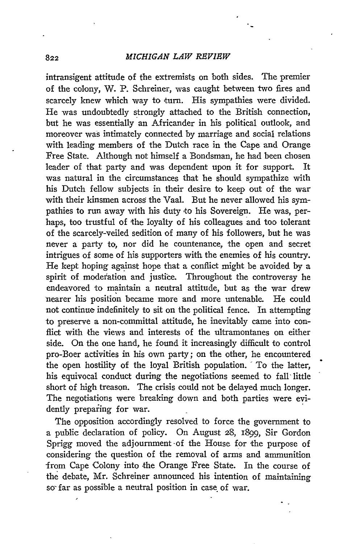intransigent attitude of the extremists on both sides. The premier of the colony, W. P. Schreiner, was caught between two fires and scarcely knew which way to turn. His sympathies were divided. He was undoubtedly strongly attached to the British connection, but he was essentially an Africander in his political outlook, and moreover was intimately connected by marriage and social relations with leading members of the Dutch race in the Cape and Orange Free State. Although not himself a Bondsman, he had been chosen leader of that party and was dependent upon it for support. It was natural in the circumstances that he should sympathize with his Dutch fellow subjects in their desire to keep out of the war with their kinsmen across the Vaal. But he never allowed his sympathies to run away with his duty •to his Sovereign. He was, perhaps, too trustful of 'the loyalty of his colleagues and too tolerant of the scarcely-veiled sedition of many of his followers, but he was never a party to, nor did he countenance, the open and secret intrigues of some of his supporters with the enemies of his country. He kept hoping against hope that a conflict might be avoided by a spirit of moderation and justice. Throughout the controversy he endeavored to maintain a neutral attitude, but as the war drew nearer his position became more and more untenable. He could not continue indefinitely to sit on the political fence. In attempting to preserve a non-committal attitude, he inevitably came into conflict with the views and interests of the ultramontanes on either side. On the one hand, he found it increasingly difficult to control pro-Boer activities in his own party; on the other, he encountered the open hostility of the loyal British population. To the latter, his equivocal conduct during the negotiations seemed to fall· little short of high treason. The crisis could not be delayed much longer. The negotiations were breaking down and both parties were evidently preparing for war.

The opposition accordingly resolved to force the government to a public declaration of policy. On August 28, 1899, Sir Gordon Sprigg moved the adjournment ·of the House for the purpose of considering the question of the removal of arms and ammunition from Cape Colony into the Orange Free State. In the course of the debate, Mr. Schreiner announced his intention of maintaining so far as possible a neutral position in case of war.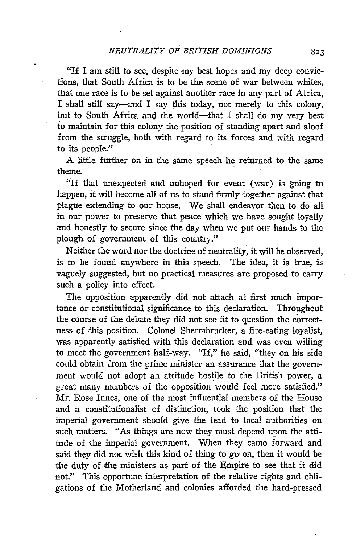"If I am still to see, despite my best hopes and my deep convictions, that South Africa is to be the scene of war between whites, that one race is to be set against another race in any part of Africa, I shall still say-and I say this today, not merely to this colony, but to South Africa and the world-that I shall do my very best io maintain for this colony the position of standing apart and aloof from the struggle, both with regard to its forces and with regard to its people."

A little further on in the same speech he returned to the same theme.

"If that unexpected and unhoped for event (war) is going-to happen, it will become all of us to stand firmly together against that plague extending to our house. We shall endeavor then to do all in our power to preserve that peace which we have sought loyally and honestly to secure since the day when we put our hands to the plough of government of this country."

Neither the word nor the doctrine of neutrality, it will be observed, is to be found anywhere in this speech. The idea, it is true, is vaguely suggested, but no practical measures are proposed to carry such a policy into effect.

The opposition apparently did not attach at first much importance or constitutional significance to this declaration. Throughout the course of the debate they did not see fit to question the correctness of this position. Colonel Shermbrucker, a fire-eating loyalist, was apparently satisfied with this declaration and was even willing to meet the government half-way. "If,'' he said, "they on his side could obtain from the prime minister an assurance that the government would not adopt an attitude hostile to the British power, a great many members of the opposition would feel more satisfied." Mr. Rose Innes, one of the most influential members of the House and a constitutionalist of distinction, took the position that the imperial government should give the lead to local authorities on such matters. "As things are now they must depend upon the attitude of the imperial government. When they came forward and said they did not wish this kind of thing to go on, then it would be the duty of the ministers as part of the Empire to see that it did not." This opportune interpretation of the relative rights and obligations of the Motherland and colonies afforded the hard-pressed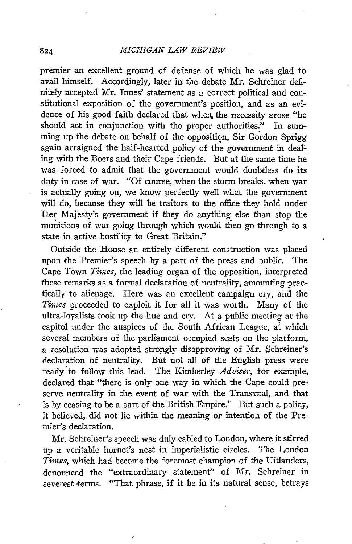#### *MICHIGAN LAW REVIEW*

premier an excellent ground of defense of which he was glad to avail himself. Accordingly, later in the debate Mr. Schreiner definitely accepted Mr. Innes' statement as a correct political and constitutional exposition of the government's position, and as an evidence of his good faith declared that when. the necessity arose "he should act in conjunction with the proper authorities.'' In summing up the debate on behalf of the opposition, Sir Gordon Sprigg again arraigned the half-hearted policy of the government in dealing with the Boers and their Cape friends. But at the same time he was forced to admit that the government would doubtless do its duty in case of war. "Of course, when the storm breaks, when war is actually going on, we know perfectly well what the government will do, because they will be traitors to the office they hold under Her Majesty's government if they do anything else than stop the munitions of war going through which would then go through to a state in active hostility to Great Britain."

Outside the House an entirely different construction was placed upon the Premier's speech by a part of the press and public. The Cape Town *Times,* the leading organ of the opposition, interpreted these remarks as a formal declaration of neutrality, amounting practically to alienage. Here was an excellent campaign cry, and the *Times* proceeded to exploit it for all it was worth. Many of the ultra-loyalists took up the hue and cry. At a public meeting at the capitol under the auspices of the South African League, at which several members of the parliament occupied seats on the platform, a resolution was adopted strongly disapproving of Mr. Schreiner's declaration of neutrality. But not all of the English press were ready to follow this lead. The Kimberley *Adviser*, for example, declared that "there is only one way in which the Cape could preserve neutrality in the event of war with the Transvaal, and that is by ceasing to be a part of the British Empire." But such a policy, it believed, did not lie within the meaning or intention of the Premier's declaration.

Mr. Schreiner's speech was duly cabled to London, where it stirred up a veritable hornet's nest in imperialistic circles. The London *Times,* which had become the foremost champion of the Uitlanders, denounced the "extraordinary statement" of Mr. Schreiner in severest terms. "That phrase, if it be in its natural sense, betrays

824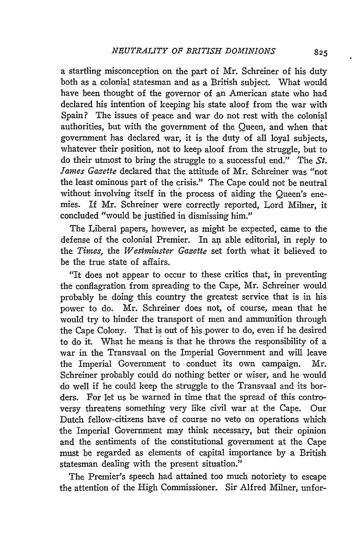a startling misconception on the part of Mr. Schreiner of his duty both as a colonial statesman and as a British subject. What would have been thought of the governor of an American state who had declared his intention of keeping his state aloof from the war with Spain? The issues of peace and war do not rest with the colonial authorities, but with the government of the Queen, and when that government has declared war, it is the duty of all loyal subjects, whatever their position, not to keep aloof from the struggle, but to do their utmost to bring the struggle to a successful end." The *St. James Gazette* declared that the attitude of Mr. Schreiner was "not the least ominous part of the crisis.» The Cape could not be neutral without involving itself in the process of aiding the Queen's enemies. If Mr. Schreiner were correctly reported, Lord Milner, it concluded "would be justified in dismissing him."

The Liberal papers, however, as might be expected, came to the defense of the colonial Premier. In an able editorial, in reply to the *Times,* the *Westminster Gazette* set forth what it believed to be the true state of affairs.

"It does not appear to occur to these critics that, in preventing the conflagration from spreading to the Cape, Mr. Schreiner would probably be doing this country the greatest service that is in his power to do. Mr. Schreiner does not, of course, mean that he would try to hinder the transport of men and ammunition through the Cape Colony. That is out of his power to do, even if he desired to do it. What he means is that he throws the responsibility of a war in the Transvaal on the Imperial Government and will leave the Imperial Government to conduct its own campaign. Mr. Schreiner probably could do nothing better or wiser, and he would do well if he could keep the struggle to the Transvaal and its borders. For let us be warned in time that the spread of this controversy threatens something very like civil war at the Cape. Our Dutch fellow-citizens have of course no veto on operations which the Imperial Government may think necessary, but their opinion and the sentiments of the constitutional government at the Cape must be regarded as elements of capital importance by a British statesman dealing with the present situation."

The Premier's speech had attained too much notoriety to escape the attention of the High Commissioner. Sir Alfred Milner, unfor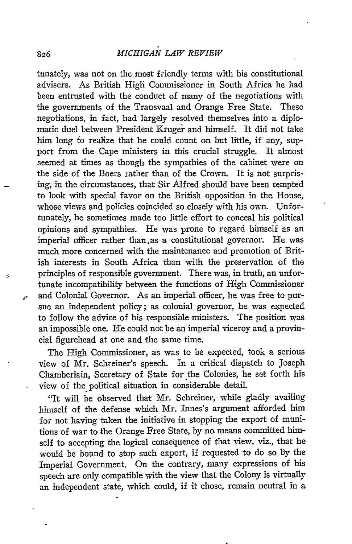tunately, was not on the most friendly terms with his constitutional advisers. As British Higli Commissioner in South Africa he had been entrusted with the conduct of many of the negotiations with the governments of the Transvaal and Orange Free State. These negotiations, in fact, had largely resolved themselves into a diplomatic duel between President Kruger and himself. It did not take him long fo realize that he could count on but little, if any, support from the Cape ministers in this crucial struggle. It almost seemed at times as though the sympathies of the cabinet were on the side of the Boers rather than of the Crown. It is not surprising, in the circumstances, that Sir Alfred should have been tempted to look with special favor on the British opposition in the House, whose views and policies coincided so closely with his own. Unfortunately, he sometimes made too little effort to conceal his political opinions and sympathies. He was prone to regard himself as an imperial officer rather than.as a constitutional governor. He was much more concerned with the maintenance and promotion of British interests in South Africa than with the preservation of the principles of responsible government. There was, in truth, an unfortunate incompatibility between the functions of High Commissioner and Colonial Governor. As an imperial officer, he was free to pursue an independent policy; as colonial governor, he was expected to follow the advice of his responsible ministers. The position was an impossible one. He could not be an imperial viceroy and a provincial figurehead at one and the same time.

The High Commissioner, as was to be expected, took a serious view of Mr. Schreiner's speech. In a critical dispatch to Joseph Chamberlain, Secretary of State for the Colonies, he set forth his view of the political situation in considerable detail.

"It will be observed that Mr. Schreiner, while gladly availing himself of the defense which Mr. Innes's argument afforded him for not having taken the initiative in stopping the export of munitions of war to the Orange Free State, by no means committed himself to accepting the logical consequence of that view, viz., that he would be bound to stop such export, if requested to do so by the Imperial Government. On the contrary, many expressions of his speech are only compatible with the view that the Colony is virtually an independent state, which could, if it chose, remain neutral in a

<>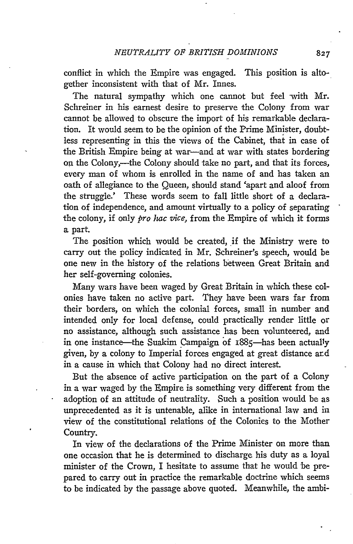conflict in which the Empire was engaged. This position is altogether inconsistent with that of Mr. Innes.

The natural sympathy which one cannot but feel with Mr. Schreiner in his earnest desire to preserve the Colony from war cannot be allowed to obscure the import of his remarkable declaration. It would seem to be the opinion of the Prime Minister, doubtless representing in this the views of the Cabinet, that in case of the British Empire being at war-and at war with states bordering on the Colony,—the Colony should take no part, and that its forces, every man of whom is enrolled in the name of and has taken an oath of allegiance to the Queen, should stand 'apart and aloof from the struggle.' These words seem to fall little short of a declaration of independence, and amount virtually to a policy of separating the colony, if only *pro hac vice,* from the Empire of which it forms a part.

The position which would be created, if the Ministry were to carry out the policy indicated in Mr. Schreiner's speech, would be one new in the history of the relations between Great Britain and her self-governing colonies.

Many wars have been waged by Great Britain in which these colonies have taken no active part. They have been wars far from their borders, on which the colonial forces, small in number and intended only for local defense, could practically render little or no assistance, although such assistance has been volunteered, and in one instance-the Suakim Campaign of 1885-has been actually given, by a colony to Imperial forces engaged at great distance and in a cause in which that Colony had no direct interest.

But the absence of active participation on the part of a Colony in a war waged by the Empire is something very different from the adoption of an attitude of neutrality. Such a position would be as unprecedented as it is untenable, alike in international law and in view of the constitutional relations of the Colonies to the Mother Country.

In view of the declarations of the Prime Minister on more than one occasion that he is determined to discharge his duty as a loyal minister of the Crown, I hesitate to assume that he would be prepared to carry out in practice the remarkable doctrine which seems to be indicated by the passage above quoted. Meanwhile, the ambi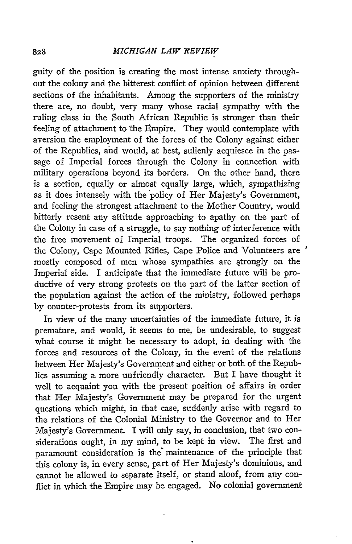guity of the position is creating the most intense anxiety throughout the colony and the bitterest conflict of opinion between different sections of the inhabitants. Among the supporters of the ministry there are, no doubt, very many whose racial sympathy with the ruling class in the South African Republic is stronger than their feeling of attachment to the Empire. They would contemplate with aversion the employment of the forces of the Colony against either of the Republics, and would, at best, sullenly acquiesce in the passage of Imperial forces through the Colony in connection with military operations beyond its borders. On the other hand, there is a section, equally or almost equally large, which, sympathizing as it does intensely with the policy of Her Majesty's Government, and feeling the strongest attachment to the Mother Country, would bitterly resent any attitude approaching to apathy on the part of the Colony in case of a struggle, to say nothing of interference with the free movement of Imperial troops. The organized forces of the Colony, Cape Mounted Rifles, Cape Police and Volunteers are ' mostly composed of men whose sympathies are strongly on the Imperial side. I anticipate that the immediate future will be productive of very strong protests on the part of the latter section of the population against the action of the ministry, followed perhaps by counter-protests from its supporters.

In view of the many uncertainties of the immediate future, it is premature, and would, it seems to me, be undesirable, to suggest what course it might be necessary to adopt, in dealing with the forces and resources oi the Colony, in the event of the relations between Her Majesty's Government and either or both of the Republics assuming a more unfriendly character. But I have thought it well to acquaint you with the present position of affairs in order that Her Majesty's Government may be prepared for the urgent questions which might, in that case, suddenly arise with regard to the relations of the Colonial Ministry to the Governor and to Her Majesty's Government. I will only say, in conclusion, that two considerations ought, in my mind, to be kept in view. The first and paramount consideration is the maintenance of the principle that this colony is, in every sense, part of Her Majesty's dominions, and cannot be allowed to separate itself, or stand aloof, from any conflict in which the Empire may be engaged. No colonial government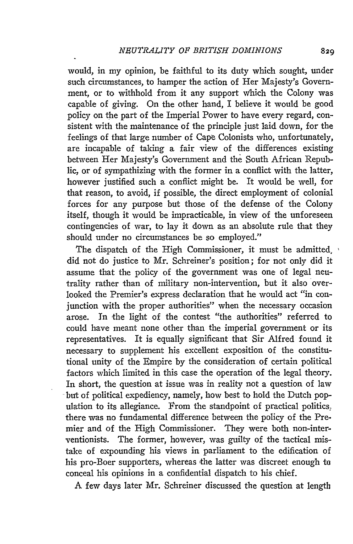would, in my opinion, be faithful to its duty which sought, under such circumstances, to hamper the action of Her Majesty's Government, or to withhold from it any support which the Colony was capable of giving. On the other hand, I believe it would be good policy on the part of the Imperial Power to have every regard, consistent with the maintenance of the principle just laid down, for the feelings of that large number of Cape Colonists who, unfortunately, are incapable of taking a fair view of the differences existing between Her Majesty's Government and the South African Republic, or of sympathizing with the former in a conflict with the latter, however justified such a conflict might be. It would be well, for that reason, to avoid, if possible, the direct employment of colonial forces for any purpose but those of the defense of the Colony itself, though it would be impracticable, in view of the unforeseen contingencies of war, to lay it down as an absolute rule that they should under no circumstances be so employed."

The dispatch of the High Commissioner, it must be admitted, did not do justice to Mr. Schreiner's position; for not only did it assume that the policy of the government was one of legal neutrality rather than of military non-intervention, but it also overlooked the Premier's express declaration that he would act "in conjunction with the proper authorities" when the necessary occasion arose. In the light of the contest "the authorities" referred to could have meant none other than the imperial government or its representatives. It is equally significant that Sir Alfred found it necessary to supplement his excellent exposition of the constitutional unity of the Empire by the consideration of certain political factors which limited in this case the operation of the legal theory. In short, the question at issue was in reality not a question of law -but of political expediency, namely, how best to hold the Dutch population to its allegiance. From the standpoint of practical politics. there was no fundamental difference between the policy of the Pre· mier and of the High Commissioner. They were both non-inter· ventionists. The former, however, was guilty of the tactical mistake of expounding his views in parliament to the edification of his pro-Boer supporters, whereas the latter was discreet enough to conceal his opinions in a confidential dispatch to his chief.

A few days later Mr. Schreiner discussed the question at length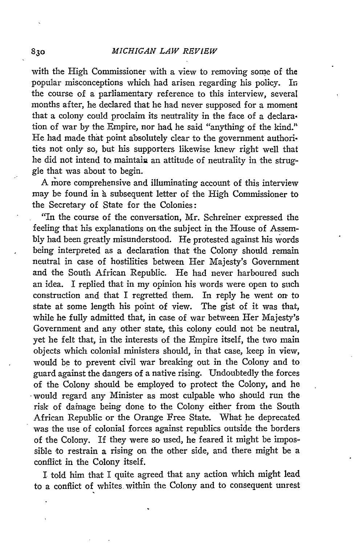with the High Commissioner with a view to removing some of the popular misconceptions which had arisen regarding his policy. In the course of a parliamentary reference to this interview, several months after, he declared that he had never supposed for a moment that a colony could proclaim its neutrality in the face of a declara• tion of war by the Empire, nor had he said "anything of the kind." He had made that point absolutely clear to the government authori· ties not only *so,* but his supporters likewise knew right well that he did not intend to maintain an attitude of neutrality in the struggle that was about to begin.

A more comprehensive and illuminating account of this interview may be found in a subsequent letter of the High Commissioner to the Secretary of State for the Colonies:

"In the course of the conversation, Mr. Schreiner expressed the feeling that his explanations on the subject in the House of Assembly had been greatly misunderstood. He protested against his words being interpreted as a declaration that the Colony should remain neutral in case of hostilities between Her Majesty's Government and the South African Republic. He had never harboured such an idea. I replied that in my opinion his words were open to such construction and that I regretted them. In reply he went on to state at some length his point of view. The gist of it was that, while he fully admitted that, in case of war between Her Majesty's Government and any other state, this colony could not be neutral, yet he felt that, in the interests of the Empire itself, the two main objects which colonial ministers should, in that case, keep in view, would be to prevent civil war breaking out in the Colony and to guard against the dangers of a native rising. Undoubtedly the forces of the Colony should be employed to protect the Colony, and he · would regard any Minister as most culpable who should run the risk of damage being done to the Colony either from the South African Republic or the Orange Free State. What he deprecated was the use of colonial forces against republics outside the borders of the Colony. If they were so used, he feared it might be impossible to restrain a rising on the other side, and there might be a conflict in the Colony itself.

I told him that I quite agreed that any action which might lead to a conflict of whites. within the Colony and to consequent unrest

830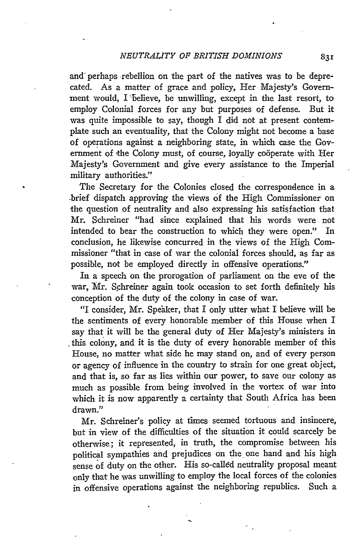and perhaps rebellion on the part of the natives was to be deprecated. As a matter of grace and policy, Her Majesty's Government would, I believe, be unwilling, except in the last resort, to employ Colonial forces for any but purposes of defense. But it was quite impossible to say, though I did not at present contemplate such an eventuality, that the Colony might not become a base of operations against a neighboring state, in which case the Government of the Colony must, of course, loyally coöperate with Her Majesty's Government and give every assistance to the Imperial military authorities."

The Secretary for the Colonies closed the correspondence in a .brief dispatch approving the views of the High Commissioner on the question of neutrality and also expressing his satisfaction that Mr. Schreiner "had since explained that his words were not intended to bear the construction to which they were open." In conclusion, he likewise concurred in the views of the High Commissioner "that in case of war the colonial forces should, as far as possible, not be employed directly in offensive operations."

In a speech on the prorogation of parliament on the eve of the war, 'Mr. Schreiner again took occasion to set forth definitely his conception of the duty of the colony in case of war.

"I consider, Mr. Speaker, that I only utter what I believe will be the sentiments of every honorable member of this House when I say that it will be the general duty of Her Majesty's ministers in . this colony, and it is the duty of every honorable member of this House, no matter what side he may stand on, and of every person or agency of influence in the country to strain for one great object, and that is, so far as lies within our power, to save our colony as much as possible from being involved in the vortex of war into which it is now apparently a certainty that South Africa has been drawn."

Mr. Schreiner's policy at times seemed tortuous and insincere, but in view of the difficulties of the situation it could scarcely be othenvise; it represented, in truth, the compromise between his political sympathies and prejudices on the one hand and his high sense of duty on the other. His so-called neutrality proposal meant only that he was unwilling to employ the local forces of the colonies in offensive operations against the neighboring republics. Such a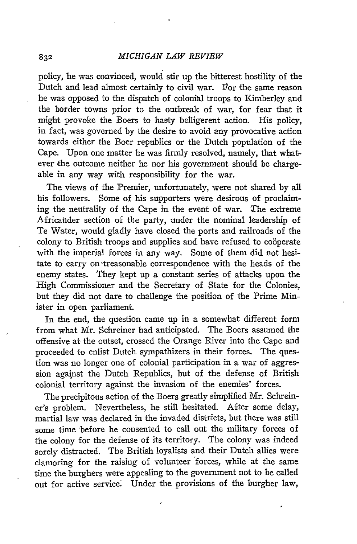#### *MICHIGAN LAW REVIEW*

policy, he was convinced, would stir up the bitterest hostility of the Dutch and lead almost certainly to civil war. For the same reason he was opposed to the dispatch of colonial troops to Kimberley and the border towns prior to the outbreak of war, for fear that it might provoke the Boers to hasty belligerent action. His policy, in fact, was governed by the desire to avoid any provocative action towards either the Boer republics or the Dutch population of the Cape. Upon one matter he was firmly resolved, namely, that whatever the outcome neither he nor his government should be chargeable in any way with responsibility for the war.

The views of the Premier, unfortunately, were not shared by all his followers. Some of his supporters were desirous of proclaiming the neutrality of the Cape in the event of war. The extreme Africander section of the party, under the nominal leadership of Te Water, would gladly have closed the ports and railroads of the colony to British troops and supplies and have refused to cooperate with the imperial forces in any way. Some of them did not hesitate to carry on 'treasonable correspondence with the heads of the enemy states. They kept up a constant series of attacks upon the High Commissioner and the Secretary of State for the Colonies, but they did not dare to challenge the position of the Prime Minister in open parliament.

In the end, the question came up in a somewhat different form from what Mr. Schreiner had anticipated. The Boers assumed the offensive at the outset, crossed the Orange River into the Cape and proceeded to enlist Dutch sympathizers in their forces. The question was no longer one of colonial participation in a war of aggression against the Dutch Republics, but of the defense of British colonial territory against the invasion of the enemies' forces.

The precipitous action of the Boers greatly simplified Mr. Schreiner's problem. Nevertheless, he still hesitated. After some delay, martial law was declared in the invaded districts, but there was still some time before he consented to call out the military forces of the colony for the defense of its territory. The colony was indeed sorely distracted. The British loyalists and their Dutch allies were clamoring for the raising of volunteer forces, while at the same time the burghers were appealing to the government not to be called out for active service: Under the provisions of the burgher law,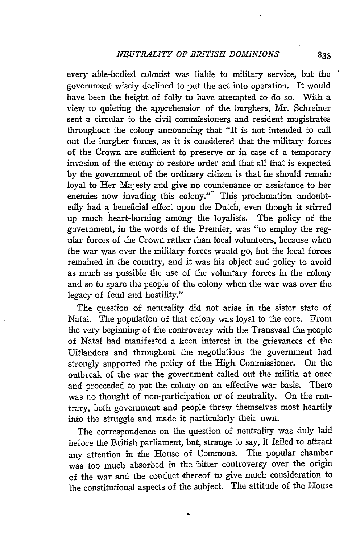every able-bodied colonist was liable to military service, but the government wisely declined to put the act into operation. It would have been the height of folly to have attempted to do so. With a view to quieting the apprehension of the burghers, Mr. Schreiner sent a circular to the civil commissioners and resident magistrates throughout the colony announcing that "It is not intended to call out the burgher forces, as it is considered that the military forces of the Crown are sufficient to preserve or in case of a temporary invasion of the enemy to restore order and that all that is expected by the government of the ordinary citizen is that he should remain loyal to Her Majesty and give no countenance or assistance to her enemies now invading this colony." This proclamation undoubtedly had a beneficial effect upon the Dutch, even though it stirred up much heart-'burning among the loyalists. The policy of the government, in the words of the Premier, was "to employ the regular forces of the Crown rather than local volunteers, because when the war was over the military forces would go, but the local forces remained in the country, and it was his object and policy to avoid as much as possible the use of the voluntary forces in the colony and so to spare the people of the colony when the war was over the legacy of feud and hostility."

The question of neutrality did not arise in the sister state of Natal. The population of that colony was loyal to the core. From the very beginning of the controversy with the Transvaal the people of Natal had manifested a keen interest in the grievances of the Uitlanders and throughout the negotiations the government had strongly supported the policy of the High Commissioner. On the outbreak of the war the government called out the militia at once and proceeded to put the colony on an effective war basis. There was no thought of non-participation or of neutrality. On the contrary, both government and people threw themselves most heartily into the struggle and made it particularly their own.

The correspondence on the question of neutrality was duly laid before the British parliament, but, strange to say, it failed to attract any attention in the House of Commons. The popular chamber was *too* much absorbed in the bitter controversy over the origin of the war and the conduct thereof to give much consideration to the constitutional aspects of the subject. The attitude of the House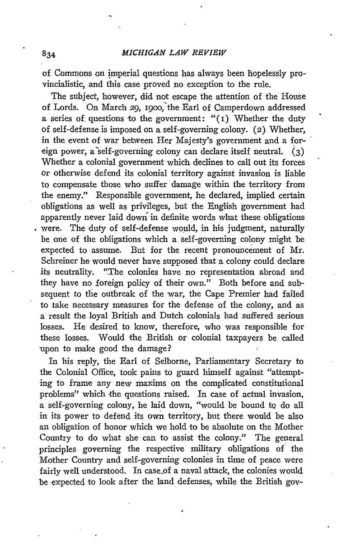of Commons on imperial questions has always been hopelessly provincialistic, and this case proved no exception to the rule.

The subject, however, did not escape the attention of the House of Lords. On March 29, 1900, the Earl of Camperdown addressed a series of questions to the government: " $(i)$  Whether the duty of self-defense is imposed on a self-governing colony. (2) Whether, in the event of war between Her Majesty's government and a foreign power, a self-governing colony can declare itself neutral. (3) Whether a colonial government which declines to call out its forces or otherwise defend its colonial territory against invasion is liable to compensate those who suffer damage within the territory from the enemy." Responsible government, he declared, implied certain obligations as well as privileges, but the English government had apparently never laid down in definite words what these obligations were. The duty of self-defense would, in his judgment, naturally be one of the obligations which a self-governing colony might be expected to assume. But for the recent pronouncement of Mr. Schreiner he would never have supposed that a colony could declare its neutrality. "The colonies have no representation abroad and they have no foreign policy of their own." Both before and subsequent to the outbreak of the war, the Cape Premier had failed to take necessary measures for the defense of the colony, and as a result the loyal British and Dutch colonials had suffered serious losses. He desired to know, therefore, who was responsible for these losses. Would the British or colonial taxpayers be called upon to make good the damage?

In his reply, the Earl of Selborne, Parliamentary Secretary to the Colonial Office, took pains to guard himself against "attempting to frame any new maxims on the complicated constitutional problems" which the questions raised. In case of actual invasion, a self-governing colony, he laid down, "would be bound to do all in its power to defend its own territory, but there would be also an obligation of honor which we hold to be absolute on the Mother Country to do what she can to assist the colony." The general principles governing the respective military obligations of the Mother Country and self-governing colonies in time of peace were fairly well understood. In case\_of a naval attack, the colonies would be expected to look after the land defenses, while the British gov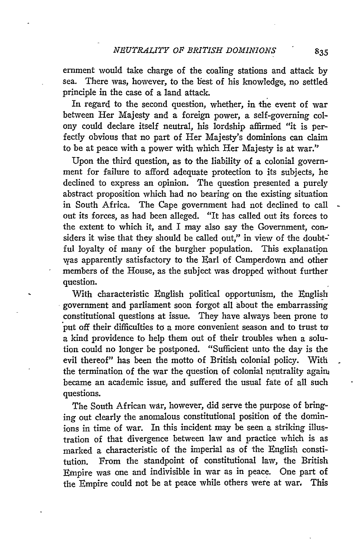ernment would take charge of the coaling stations and attack by sea. There was, however, to the Dest of his knowledge, no settled principle in the case of a land attack.

In regard to the second question, whether, in the event of war between Her Majesty and a foreign power, a self-governing colony could declare itself neutral, his lordship affirmed "it is perfectly obvious that no part of Her Majesty's dominions can claim to be at peace with a power with which Her Majesty is at war."

Upon the third question, as to the liability of a colonial government for failure to afford adequate protection to its subjects, he declined to express an opinion. The question presented a purely abstract proposition which had no bearing on the existing situation in South Africa. The Cape government had not declined to call out its forces, as had been alleged. "It has called out its forces to the extent to which it, and I may also say the Government, considers it wise that they should be called out," in view of the doubtful loyalty of many of the burgher population. This explanation was apparently satisfactory to the Earl of Camperdown and other members of the House, as the subject was dropped without further question.

With characteristic English political opportunism, the English government and parliament soon forgot all about the embarrassing constitutional questions at issue. They have always been prone to ·put off their difficulties to a more convenient season and to trust to' a kind providence to help them out of their troubles when a solution could no longer be postponed. "Sufficient unto the day is the evil thereof" has been the motto of British colonial policy. With the termination of the war the question of colonial neutrality again. became an academic issue, and suffered the usual fate of all such questions.

The South African war, however, did serve the purpose of bringing out clearly the anomalous constitutional position of the dominions in time of war. In this incident may be seen a striking illustration of that divergence between law and practice which is as marked a characteristic of the imperial as of the English constitution. From the standpoint of constitutional law, the British Empire was one and indivisible in war as in peace. One part of the Empire could not be at peace while others were at war, This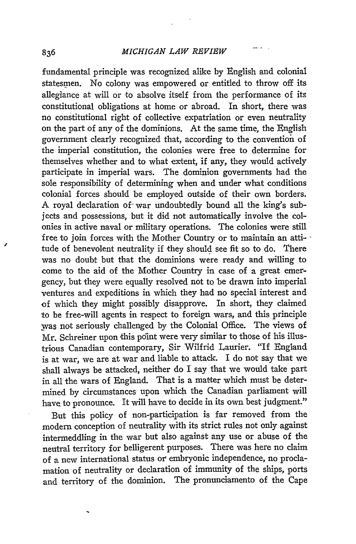fundamental principle was recognized alike by English and colonial statesmen. No colony was empowered or entitled to throw off its allegiance at will or to absolve itself from the performance of its constitutional obligations at home or abroad. In short, there was no constitutional right of collective expatriation or even neutrality on the part of any of the dominions. At the same time, the English government clearly recognized that, according to the convention of the imperial constitution, the colonies were free to determine for themselves whether and to what extent, if any, they would actively participate in imperial wars. The dominion governments had the sole responsibility of determining when and under what conditions colonial forces should be employed outside of their own borders. A royal declaration of-war undoubtedly bound all the king's subjects and possessions, but it did not automatically involve the colonies in active naval or military operations. The colonies were still free to join forces with the Mother Country or to maintain an attitude of benevolent neutrality if they should see fit so to do. There was no doubt but that the dominions were ready and willing to come to the aid of the Mother Country in case of a great emergency, but they were equally resolved not to be drawn into imperial ventures and expeditions in which they had no special interest and of which they might possibly disapprove. In short, they claimed *to* be free-will agents in respect to foreign wars, and this principle was not seriously challenged by the Colonial Office. The views of Mr. Schreiner upon this point were very similar to those of his illustrious Canadian contemporary, Sir Wilfrid Laurier. "If England is at war, we are at war and liable to attack. I do not say that we shall always be attacked, neither do I say that we would take part in all the wars of England. That is a matter which must be determined by circumstances upon which the Canadian parliament will have to pronounce. It will have to decide in its own best judgment."

But this policy of non-participation is far removed from the modern conception of neutrality with its strict rules not only against intermeddling in the war but also against any use or abuse of the neutral territory for belligerent purposes. There was here no claim of a new international status or embryonic independence, no proclamation of neutrality or declaration of immunity of the ships, ports and territory of the dominion. The pronunciamento of the Cape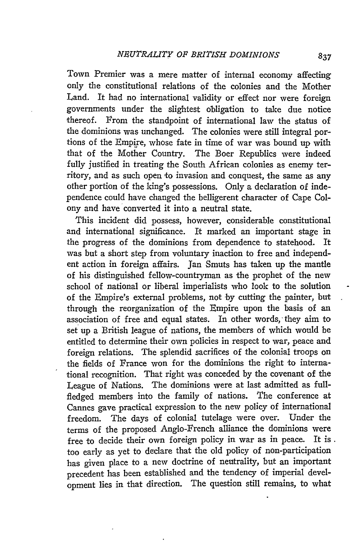Town Premier was a mere matter of internal economy affecting only the constitutional relations of the colonies and the Mother Land. It had no international validity or effect nor were foreign governments under the slightest obligation to take due notice thereof. From the standpoint of international law the status of the dominions was unchanged. The colonies were still integral portions of the Empire, whose fate in time of war was bound up with that of the Mother Country. The Boer Republics were indeed fully justified in treating the South African colonies as enemy territory, and as such open 1o invasion and conquest, the same as any other portion of the king's possessions. Only a declaration of independence could have changed the belligerent character of Cape Colony and have converted it into a neutral state.

This incident did possess, however, considerable constitutional and international significance. It marked an important stage in the progress of the dominions from dependence to statehood. It was but a short step from voluntary inaction to free and independent action in foreign affairs. Jan Smuts has taken up the mantle of his distinguished fellow-countryman as the prophet of the new school of national or liberal imperialists who look to the solution of the Empire's external problems, not by cutting the painter, but through the reorganization of the Empire upon the basis of an association of free and equal states. In other words, they aim to set up a British league of nations, the members of which would be entitled to determine their own policies in respect to war, peace and foreign relations. The splendid sacrifices of the colonial troops on the fields of France won for the dominions the right to international recognition. That right was conceded by the covenant of the League of Nations. The dominions were at last admitted as fullfledged members into the family of nations. The conference at Cannes gave practical expression to the new policy of international freedom. The days of colonial tutelage were over. Under the terms of the proposed Anglo-French alliance the dominions were free *to* decide their own foreign policy in war as in peace. It is . too early as yet to declare that the old policy of non-participation has given place to a new doctrine of neutrality, but an important precedent has been established and the tendency of imperial development lies in that direction. The question still remains, to what